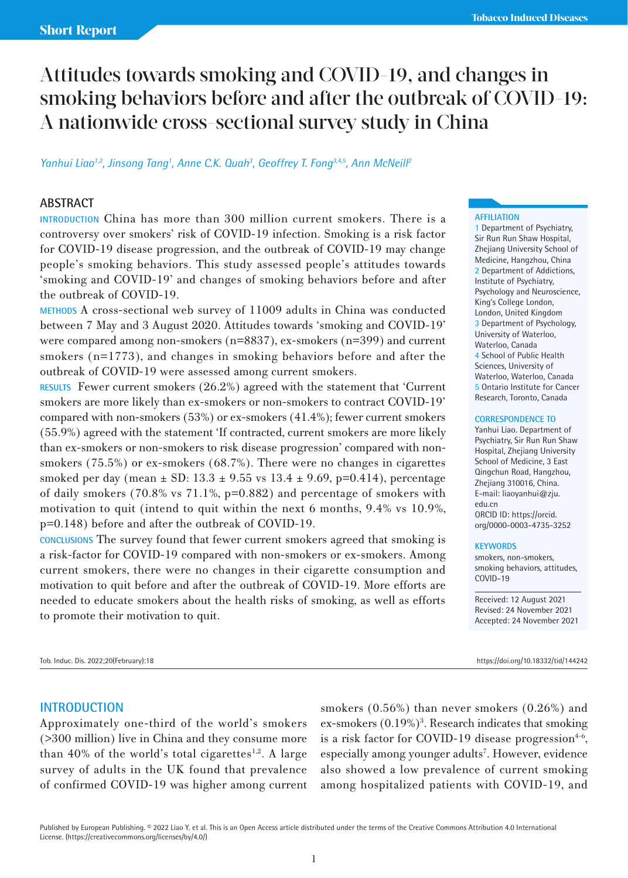# Attitudes towards smoking and COVID-19, and changes in smoking behaviors before and after the outbreak of COVID-19: A nationwide cross-sectional survey study in China

## Yanhui Liao<sup>1,2</sup>, Jinsong Tang<sup>1</sup>, Anne C.K. Quah<sup>3</sup>, Geoffrey T. Fong<sup>3,4,5</sup>, Ann McNeill<sup>2</sup>

#### **ABSTRACT**

**INTRODUCTION** China has more than 300 million current smokers. There is a controversy over smokers' risk of COVID-19 infection. Smoking is a risk factor for COVID-19 disease progression, and the outbreak of COVID-19 may change people's smoking behaviors. This study assessed people's attitudes towards 'smoking and COVID-19' and changes of smoking behaviors before and after the outbreak of COVID-19.

**METHODS** A cross-sectional web survey of 11009 adults in China was conducted between 7 May and 3 August 2020. Attitudes towards 'smoking and COVID-19' were compared among non-smokers (n=8837), ex-smokers (n=399) and current smokers (n=1773), and changes in smoking behaviors before and after the outbreak of COVID-19 were assessed among current smokers.

**RESULTS** Fewer current smokers (26.2%) agreed with the statement that 'Current smokers are more likely than ex-smokers or non-smokers to contract COVID-19' compared with non-smokers (53%) or ex-smokers (41.4%); fewer current smokers (55.9%) agreed with the statement 'If contracted, current smokers are more likely than ex-smokers or non-smokers to risk disease progression' compared with nonsmokers (75.5%) or ex-smokers (68.7%). There were no changes in cigarettes smoked per day (mean  $\pm$  SD: 13.3  $\pm$  9.55 vs 13.4  $\pm$  9.69, p=0.414), percentage of daily smokers (70.8% vs  $71.1\%$ ,  $p=0.882$ ) and percentage of smokers with motivation to quit (intend to quit within the next 6 months, 9.4% vs 10.9%, p=0.148) before and after the outbreak of COVID-19.

**CONCLUSIONS** The survey found that fewer current smokers agreed that smoking is a risk-factor for COVID-19 compared with non-smokers or ex-smokers. Among current smokers, there were no changes in their cigarette consumption and motivation to quit before and after the outbreak of COVID-19. More efforts are needed to educate smokers about the health risks of smoking, as well as efforts to promote their motivation to quit.

Tob. Induc. Dis. 2022;20(February):18 https://doi.org/10.18332/tid/144242

#### **AFFILIATION**

1 Department of Psychiatry, Sir Run Run Shaw Hospital, Zhejiang University School of Medicine, Hangzhou, China 2 Department of Addictions, Institute of Psychiatry, Psychology and Neuroscience, King's College London, London, United Kingdom 3 Department of Psychology, University of Waterloo, Waterloo, Canada 4 School of Public Health Sciences, University of Waterloo, Waterloo, Canada 5 Ontario Institute for Cancer Research, Toronto, Canada

#### **CORRESPONDENCE TO**

Yanhui Liao. Department of Psychiatry, Sir Run Run Shaw Hospital, Zheijang University School of Medicine, 3 East Qingchun Road, Hangzhou, Zhejiang 310016, China. E-mail: liaoyanhui@zju. edu.cn ORCID ID: https://orcid. org/0000-0003-4735-3252

#### **KEYWORDS**

smokers, non-smokers, smoking behaviors, attitudes, COVID-19

Received: 12 August 2021 Revised: 24 November 2021 Accepted: 24 November 2021

#### **INTRODUCTION**

Approximately one-third of the world's smokers (>300 million) live in China and they consume more than 40% of the world's total cigarettes $1,2$ . A large survey of adults in the UK found that prevalence of confirmed COVID-19 was higher among current

smokers (0.56%) than never smokers (0.26%) and ex-smokers (0.19%)<sup>3</sup>. Research indicates that smoking is a risk factor for COVID-19 disease progression $4-6$ , especially among younger adults<sup>7</sup>. However, evidence also showed a low prevalence of current smoking among hospitalized patients with COVID-19, and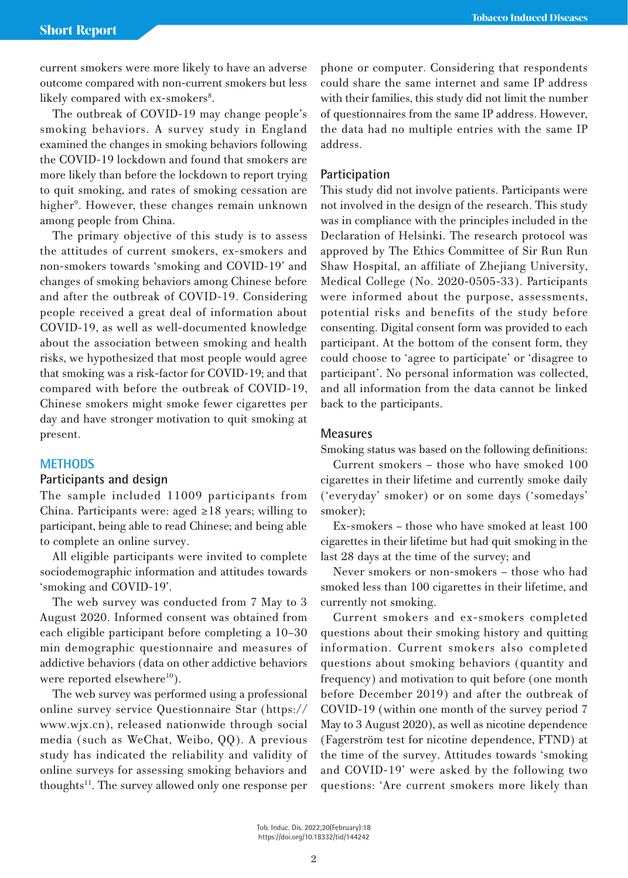current smokers were more likely to have an adverse outcome compared with non-current smokers but less likely compared with ex-smokers<sup>8</sup>.

The outbreak of COVID-19 may change people's smoking behaviors. A survey study in England examined the changes in smoking behaviors following the COVID-19 lockdown and found that smokers are more likely than before the lockdown to report trying to quit smoking, and rates of smoking cessation are higher<sup>9</sup>. However, these changes remain unknown among people from China.

The primary objective of this study is to assess the attitudes of current smokers, ex-smokers and non-smokers towards 'smoking and COVID-19' and changes of smoking behaviors among Chinese before and after the outbreak of COVID-19. Considering people received a great deal of information about COVID-19, as well as well-documented knowledge about the association between smoking and health risks, we hypothesized that most people would agree that smoking was a risk-factor for COVID-19; and that compared with before the outbreak of COVID-19, Chinese smokers might smoke fewer cigarettes per day and have stronger motivation to quit smoking at present.

#### **METHODS**

## **Participants and design**

The sample included 11009 participants from China. Participants were: aged  $\geq 18$  years; willing to participant, being able to read Chinese; and being able to complete an online survey.

All eligible participants were invited to complete sociodemographic information and attitudes towards 'smoking and COVID-19'.

The web survey was conducted from 7 May to 3 August 2020. Informed consent was obtained from each eligible participant before completing a 10–30 min demographic questionnaire and measures of addictive behaviors (data on other addictive behaviors were reported elsewhere<sup>10</sup>).

The web survey was performed using a professional online survey service Questionnaire Star (https:// www.wjx.cn), released nationwide through social media (such as WeChat, Weibo, QQ). A previous study has indicated the reliability and validity of online surveys for assessing smoking behaviors and thoughts<sup>11</sup>. The survey allowed only one response per phone or computer. Considering that respondents could share the same internet and same IP address with their families, this study did not limit the number of questionnaires from the same IP address. However, the data had no multiple entries with the same IP address.

#### **Participation**

This study did not involve patients. Participants were not involved in the design of the research. This study was in compliance with the principles included in the Declaration of Helsinki. The research protocol was approved by The Ethics Committee of Sir Run Run Shaw Hospital, an affiliate of Zhejiang University, Medical College (No. 2020-0505-33). Participants were informed about the purpose, assessments, potential risks and benefits of the study before consenting. Digital consent form was provided to each participant. At the bottom of the consent form, they could choose to 'agree to participate' or 'disagree to participant'. No personal information was collected, and all information from the data cannot be linked back to the participants.

#### **Measures**

Smoking status was based on the following definitions:

Current smokers – those who have smoked 100 cigarettes in their lifetime and currently smoke daily ('everyday' smoker) or on some days ('somedays' smoker);

Ex-smokers – those who have smoked at least 100 cigarettes in their lifetime but had quit smoking in the last 28 days at the time of the survey; and

Never smokers or non-smokers – those who had smoked less than 100 cigarettes in their lifetime, and currently not smoking.

Current smokers and ex-smokers completed questions about their smoking history and quitting information. Current smokers also completed questions about smoking behaviors (quantity and frequency) and motivation to quit before (one month before December 2019) and after the outbreak of COVID-19 (within one month of the survey period 7 May to 3 August 2020), as well as nicotine dependence (Fagerström test for nicotine dependence, FTND) at the time of the survey. Attitudes towards 'smoking and COVID-19' were asked by the following two questions: 'Are current smokers more likely than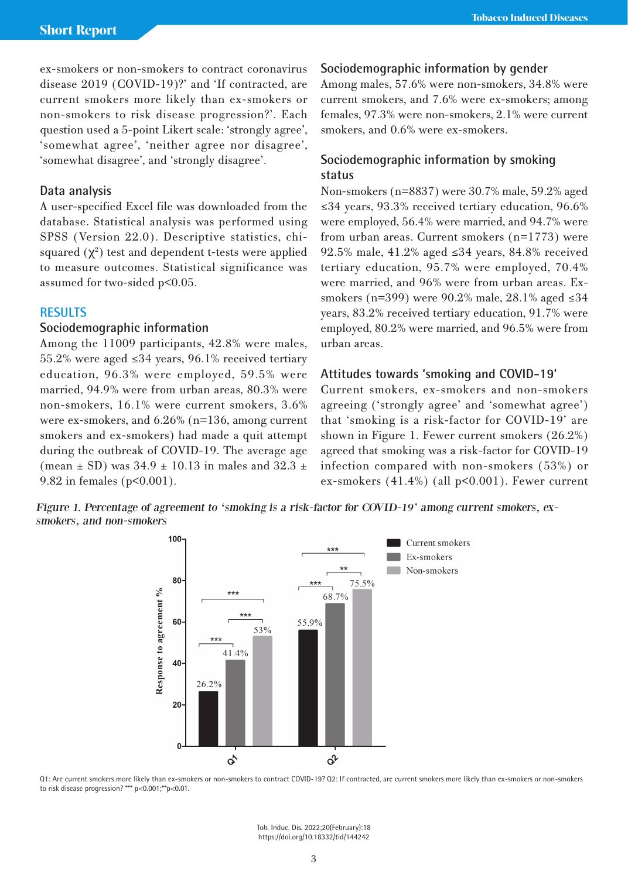ex-smokers or non-smokers to contract coronavirus disease 2019 (COVID-19)?' and 'If contracted, are current smokers more likely than ex-smokers or non-smokers to risk disease progression?'. Each question used a 5-point Likert scale: 'strongly agree', 'somewhat agree', 'neither agree nor disagree', 'somewhat disagree', and 'strongly disagree'.

## **Data analysis**

A user-specified Excel file was downloaded from the database. Statistical analysis was performed using SPSS (Version 22.0). Descriptive statistics, chisquared  $(\chi^2)$  test and dependent t-tests were applied to measure outcomes. Statistical significance was assumed for two-sided p<0.05.

## **RESULTS**

## **Sociodemographic information**

Among the 11009 participants, 42.8% were males, 55.2% were aged ≤34 years, 96.1% received tertiary education, 96.3% were employed, 59.5% were married, 94.9% were from urban areas, 80.3% were non-smokers, 16.1% were current smokers, 3.6% were ex-smokers, and 6.26% (n=136, among current smokers and ex-smokers) had made a quit attempt during the outbreak of COVID-19. The average age (mean  $\pm$  SD) was 34.9  $\pm$  10.13 in males and 32.3  $\pm$ 9.82 in females (p<0.001).

## **Sociodemographic information by gender**

Among males, 57.6% were non-smokers, 34.8% were current smokers, and 7.6% were ex-smokers; among females, 97.3% were non-smokers, 2.1% were current smokers, and 0.6% were ex-smokers.

# **Sociodemographic information by smoking status**

Non-smokers (n=8837) were 30.7% male, 59.2% aged ≤34 years, 93.3% received tertiary education, 96.6% were employed, 56.4% were married, and 94.7% were from urban areas. Current smokers (n=1773) were 92.5% male, 41.2% aged ≤34 years, 84.8% received tertiary education, 95.7% were employed, 70.4% were married, and 96% were from urban areas. Exsmokers (n=399) were 90.2% male, 28.1% aged ≤34 years, 83.2% received tertiary education, 91.7% were employed, 80.2% were married, and 96.5% were from urban areas.

#### **Attitudes towards 'smoking and COVID-19'**

Current smokers, ex-smokers and non-smokers agreeing ('strongly agree' and 'somewhat agree') that 'smoking is a risk-factor for COVID-19' are shown in Figure 1. Fewer current smokers (26.2%) agreed that smoking was a risk-factor for COVID-19 infection compared with non-smokers (53%) or ex-smokers (41.4%) (all p<0.001). Fewer current

Figure 1. Percentage of agreement to 'smoking is a risk-factor for COVID-19' among current smokers, exsmokers, and non-smokers



Q1: Are current smokers more likely than ex-smokers or non-smokers to contract COVID-19? Q2: If contracted, are current smokers more likely than ex-smokers or non-smokers to risk disease progression? \*\*\* p<0.001;\*\*p<0.01.

> Tob. Induc. Dis. 2022;20(February):18 https://doi.org/10.18332/tid/144242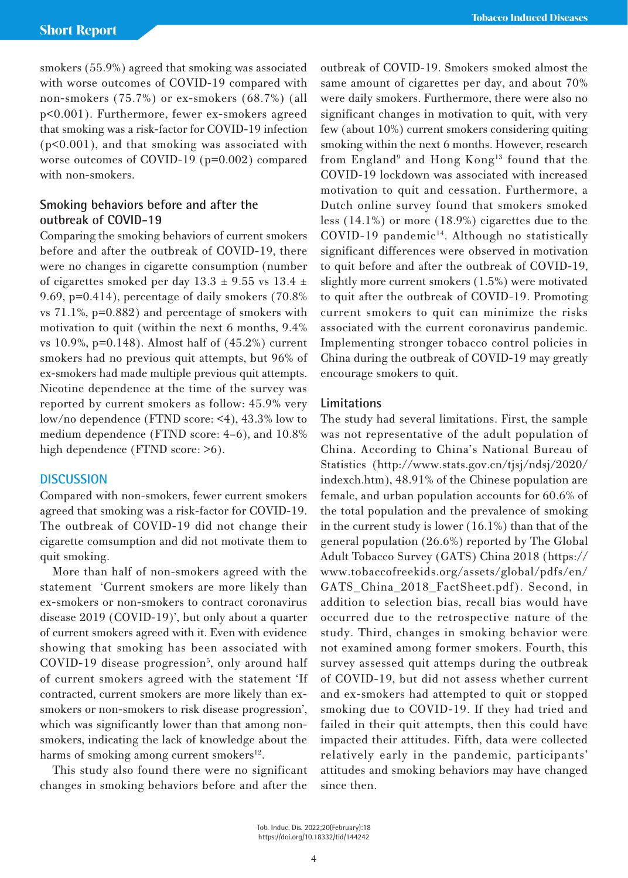smokers (55.9%) agreed that smoking was associated with worse outcomes of COVID-19 compared with non-smokers (75.7%) or ex-smokers (68.7%) (all p<0.001). Furthermore, fewer ex-smokers agreed that smoking was a risk-factor for COVID-19 infection (p<0.001), and that smoking was associated with worse outcomes of COVID-19 (p=0.002) compared with non-smokers.

# **Smoking behaviors before and after the outbreak of COVID-19**

Comparing the smoking behaviors of current smokers before and after the outbreak of COVID-19, there were no changes in cigarette consumption (number of cigarettes smoked per day  $13.3 \pm 9.55$  vs  $13.4 \pm 1.5$ 9.69, p=0.414), percentage of daily smokers (70.8% vs 71.1%, p=0.882) and percentage of smokers with motivation to quit (within the next 6 months, 9.4% vs 10.9%, p=0.148). Almost half of (45.2%) current smokers had no previous quit attempts, but 96% of ex-smokers had made multiple previous quit attempts. Nicotine dependence at the time of the survey was reported by current smokers as follow: 45.9% very low/no dependence (FTND score: <4), 43.3% low to medium dependence (FTND score: 4–6), and 10.8% high dependence (FTND score:  $>6$ ).

## **DISCUSSION**

Compared with non-smokers, fewer current smokers agreed that smoking was a risk-factor for COVID-19. The outbreak of COVID-19 did not change their cigarette comsumption and did not motivate them to quit smoking.

More than half of non-smokers agreed with the statement 'Current smokers are more likely than ex-smokers or non-smokers to contract coronavirus disease 2019 (COVID-19)', but only about a quarter of current smokers agreed with it. Even with evidence showing that smoking has been associated with COVID-19 disease progression<sup>5</sup>, only around half of current smokers agreed with the statement 'If contracted, current smokers are more likely than exsmokers or non-smokers to risk disease progression', which was significantly lower than that among nonsmokers, indicating the lack of knowledge about the harms of smoking among current smokers $^{12}$ .

This study also found there were no significant changes in smoking behaviors before and after the

outbreak of COVID-19. Smokers smoked almost the same amount of cigarettes per day, and about 70% were daily smokers. Furthermore, there were also no significant changes in motivation to quit, with very few (about 10%) current smokers considering quiting smoking within the next 6 months. However, research from England<sup>9</sup> and Hong Kong<sup>13</sup> found that the COVID-19 lockdown was associated with increased motivation to quit and cessation. Furthermore, a Dutch online survey found that smokers smoked less (14.1%) or more (18.9%) cigarettes due to the  $COVID-19$  pandemic<sup>14</sup>. Although no statistically significant differences were observed in motivation to quit before and after the outbreak of COVID-19, slightly more current smokers (1.5%) were motivated to quit after the outbreak of COVID-19. Promoting current smokers to quit can minimize the risks associated with the current coronavirus pandemic. Implementing stronger tobacco control policies in China during the outbreak of COVID-19 may greatly encourage smokers to quit.

### **Limitations**

The study had several limitations. First, the sample was not representative of the adult population of China. According to China's National Bureau of Statistics (http://www.stats.gov.cn/tjsj/ndsj/2020/ indexch.htm), 48.91% of the Chinese population are female, and urban population accounts for 60.6% of the total population and the prevalence of smoking in the current study is lower (16.1%) than that of the general population (26.6%) reported by The Global Adult Tobacco Survey (GATS) China 2018 (https:// www.tobaccofreekids.org/assets/global/pdfs/en/ GATS China 2018 FactSheet.pdf). Second, in addition to selection bias, recall bias would have occurred due to the retrospective nature of the study. Third, changes in smoking behavior were not examined among former smokers. Fourth, this survey assessed quit attemps during the outbreak of COVID-19, but did not assess whether current and ex-smokers had attempted to quit or stopped smoking due to COVID-19. If they had tried and failed in their quit attempts, then this could have impacted their attitudes. Fifth, data were collected relatively early in the pandemic, participants' attitudes and smoking behaviors may have changed since then.